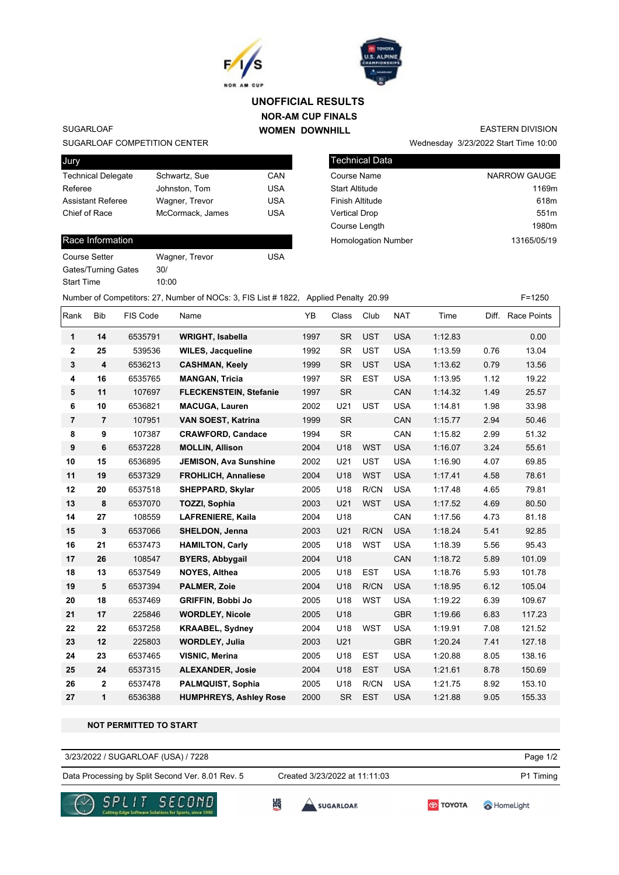



## **NOR-AM CUP FINALS WOMEN DOWNHILL UNOFFICIAL RESULTS**

SUGARLOAF

#### SUGARLOAF COMPETITION CENTER

| Jury                      |                  |            |
|---------------------------|------------------|------------|
| <b>Technical Delegate</b> | Schwartz, Sue    | CAN        |
| Referee                   | Johnston, Tom    | <b>USA</b> |
| <b>Assistant Referee</b>  | Wagner, Trevor   | <b>USA</b> |
| Chief of Race             | McCormack, James | USA        |
|                           |                  |            |

## Race Information

| <b>Course Setter</b>       | Wagner, Trevor | USA |
|----------------------------|----------------|-----|
| <b>Gates/Turning Gates</b> | 30/            |     |
| <b>Start Time</b>          | 10:00          |     |

| Technical Data         |                  |
|------------------------|------------------|
| Course Name            | NARROW GAUGE     |
| <b>Start Altitude</b>  | 1169m            |
| <b>Finish Altitude</b> | 618m             |
| <b>Vertical Drop</b>   | 551 <sub>m</sub> |

Course Length **1980m** 

Homologation Number 13165/05/19

Wednesday 3/23/2022 Start Time 10:00

EASTERN DIVISION

# Number of Competitors: 27, Number of NOCs: 3, FIS List # 1822, Applied Penalty 20.99 F=1250

|                |                |          |                               | . .  |           |            |            |         |      |                   |
|----------------|----------------|----------|-------------------------------|------|-----------|------------|------------|---------|------|-------------------|
| Rank           | <b>Bib</b>     | FIS Code | Name                          | YB   | Class     | Club       | <b>NAT</b> | Time    |      | Diff. Race Points |
| 1              | 14             | 6535791  | <b>WRIGHT, Isabella</b>       | 1997 | <b>SR</b> | <b>UST</b> | <b>USA</b> | 1:12.83 |      | 0.00              |
| 2              | 25             | 539536   | <b>WILES, Jacqueline</b>      | 1992 | <b>SR</b> | <b>UST</b> | <b>USA</b> | 1:13.59 | 0.76 | 13.04             |
| 3              | 4              | 6536213  | <b>CASHMAN, Keely</b>         | 1999 | <b>SR</b> | <b>UST</b> | <b>USA</b> | 1:13.62 | 0.79 | 13.56             |
| 4              | 16             | 6535765  | <b>MANGAN, Tricia</b>         | 1997 | <b>SR</b> | <b>EST</b> | <b>USA</b> | 1:13.95 | 1.12 | 19.22             |
| 5              | 11             | 107697   | <b>FLECKENSTEIN, Stefanie</b> | 1997 | <b>SR</b> |            | CAN        | 1:14.32 | 1.49 | 25.57             |
| 6              | 10             | 6536821  | <b>MACUGA, Lauren</b>         | 2002 | U21       | <b>UST</b> | <b>USA</b> | 1:14.81 | 1.98 | 33.98             |
| $\overline{7}$ | $\overline{7}$ | 107951   | VAN SOEST, Katrina            | 1999 | <b>SR</b> |            | CAN        | 1:15.77 | 2.94 | 50.46             |
| 8              | 9              | 107387   | <b>CRAWFORD, Candace</b>      | 1994 | <b>SR</b> |            | CAN        | 1:15.82 | 2.99 | 51.32             |
| 9              | 6              | 6537228  | <b>MOLLIN, Allison</b>        | 2004 | U18       | <b>WST</b> | <b>USA</b> | 1:16.07 | 3.24 | 55.61             |
| 10             | 15             | 6536895  | <b>JEMISON, Ava Sunshine</b>  | 2002 | U21       | <b>UST</b> | <b>USA</b> | 1:16.90 | 4.07 | 69.85             |
| 11             | 19             | 6537329  | <b>FROHLICH, Annaliese</b>    | 2004 | U18       | <b>WST</b> | <b>USA</b> | 1:17.41 | 4.58 | 78.61             |
| 12             | 20             | 6537518  | SHEPPARD, Skylar              | 2005 | U18       | R/CN       | <b>USA</b> | 1:17.48 | 4.65 | 79.81             |
| 13             | 8              | 6537070  | <b>TOZZI, Sophia</b>          | 2003 | U21       | <b>WST</b> | <b>USA</b> | 1:17.52 | 4.69 | 80.50             |
| 14             | 27             | 108559   | <b>LAFRENIERE, Kaila</b>      | 2004 | U18       |            | CAN        | 1:17.56 | 4.73 | 81.18             |
| 15             | 3              | 6537066  | SHELDON, Jenna                | 2003 | U21       | R/CN       | <b>USA</b> | 1:18.24 | 5.41 | 92.85             |
| 16             | 21             | 6537473  | <b>HAMILTON, Carly</b>        | 2005 | U18       | <b>WST</b> | <b>USA</b> | 1:18.39 | 5.56 | 95.43             |
| 17             | 26             | 108547   | <b>BYERS, Abbygail</b>        | 2004 | U18       |            | CAN        | 1:18.72 | 5.89 | 101.09            |
| 18             | 13             | 6537549  | <b>NOYES, Althea</b>          | 2005 | U18       | <b>EST</b> | <b>USA</b> | 1:18.76 | 5.93 | 101.78            |
| 19             | 5              | 6537394  | <b>PALMER, Zoie</b>           | 2004 | U18       | R/CN       | <b>USA</b> | 1:18.95 | 6.12 | 105.04            |
| 20             | 18             | 6537469  | <b>GRIFFIN, Bobbi Jo</b>      | 2005 | U18       | <b>WST</b> | <b>USA</b> | 1:19.22 | 6.39 | 109.67            |
| 21             | 17             | 225846   | <b>WORDLEY, Nicole</b>        | 2005 | U18       |            | <b>GBR</b> | 1:19.66 | 6.83 | 117.23            |
| 22             | 22             | 6537258  | <b>KRAABEL, Sydney</b>        | 2004 | U18       | <b>WST</b> | <b>USA</b> | 1:19.91 | 7.08 | 121.52            |
| 23             | 12             | 225803   | <b>WORDLEY, Julia</b>         | 2003 | U21       |            | <b>GBR</b> | 1:20.24 | 7.41 | 127.18            |
| 24             | 23             | 6537465  | <b>VISNIC, Merina</b>         | 2005 | U18       | <b>EST</b> | <b>USA</b> | 1:20.88 | 8.05 | 138.16            |
| 25             | 24             | 6537315  | <b>ALEXANDER, Josie</b>       | 2004 | U18       | <b>EST</b> | <b>USA</b> | 1:21.61 | 8.78 | 150.69            |
| 26             | 2              | 6537478  | PALMQUIST, Sophia             | 2005 | U18       | R/CN       | <b>USA</b> | 1:21.75 | 8.92 | 153.10            |
| 27             | 1              | 6536388  | <b>HUMPHREYS, Ashley Rose</b> | 2000 | <b>SR</b> | <b>EST</b> | <b>USA</b> | 1:21.88 | 9.05 | 155.33            |

#### **NOT PERMITTED TO START**

### 3/23/2022 / SUGARLOAF (USA) / 7228

Data Processing by Split Second Ver. 8.01 Rev. 5 Created 3/23/2022 at 11:11:03 P1 Timing Created 3/23/2022 at 11:11:03

Page 1/2





**SEC** 



HomeLight